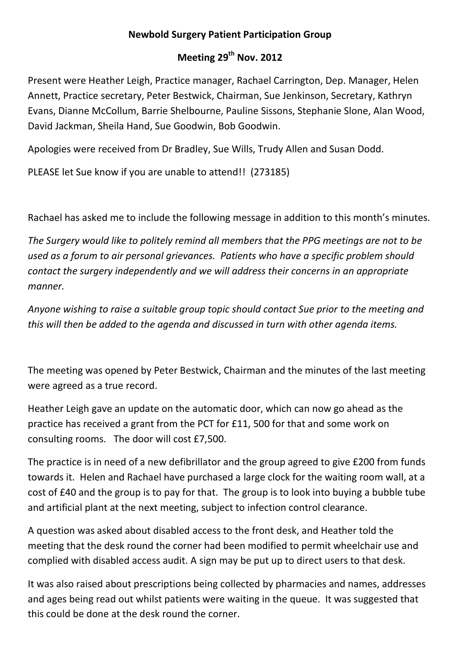## **Newbold Surgery Patient Participation Group**

## **Meeting 29th Nov. 2012**

Present were Heather Leigh, Practice manager, Rachael Carrington, Dep. Manager, Helen Annett, Practice secretary, Peter Bestwick, Chairman, Sue Jenkinson, Secretary, Kathryn Evans, Dianne McCollum, Barrie Shelbourne, Pauline Sissons, Stephanie Slone, Alan Wood, David Jackman, Sheila Hand, Sue Goodwin, Bob Goodwin.

Apologies were received from Dr Bradley, Sue Wills, Trudy Allen and Susan Dodd.

PLEASE let Sue know if you are unable to attend!! (273185)

Rachael has asked me to include the following message in addition to this month's minutes.

*The Surgery would like to politely remind all members that the PPG meetings are not to be used as a forum to air personal grievances. Patients who have a specific problem should contact the surgery independently and we will address their concerns in an appropriate manner.*

*Anyone wishing to raise a suitable group topic should contact Sue prior to the meeting and this will then be added to the agenda and discussed in turn with other agenda items.*

The meeting was opened by Peter Bestwick, Chairman and the minutes of the last meeting were agreed as a true record.

Heather Leigh gave an update on the automatic door, which can now go ahead as the practice has received a grant from the PCT for £11, 500 for that and some work on consulting rooms. The door will cost £7,500.

The practice is in need of a new defibrillator and the group agreed to give £200 from funds towards it. Helen and Rachael have purchased a large clock for the waiting room wall, at a cost of £40 and the group is to pay for that. The group is to look into buying a bubble tube and artificial plant at the next meeting, subject to infection control clearance.

A question was asked about disabled access to the front desk, and Heather told the meeting that the desk round the corner had been modified to permit wheelchair use and complied with disabled access audit. A sign may be put up to direct users to that desk.

It was also raised about prescriptions being collected by pharmacies and names, addresses and ages being read out whilst patients were waiting in the queue. It was suggested that this could be done at the desk round the corner.